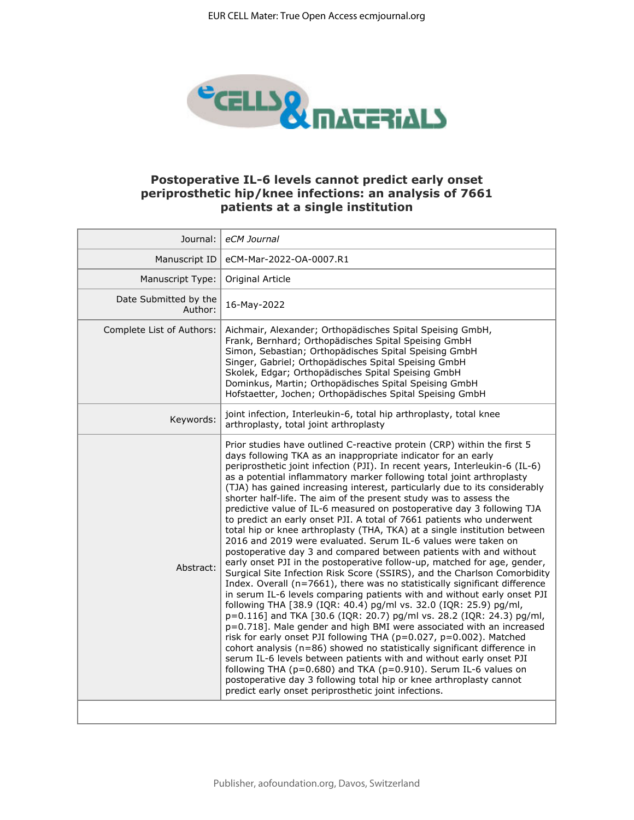

# **Postoperative IL-6 levels cannot predict early onset periprosthetic hip/knee infections: an analysis of 7661 patients at a single institution**

| Journal:                         | eCM Journal                                                                                                                                                                                                                                                                                                                                                                                                                                                                                                                                                                                                                                                                                                                                                                                                                                                                                                                                                                                                                                                                                                                                                                                                                                                                                                                                                                                                                                                                                                                                                                                                                                                                                                                                                                                  |
|----------------------------------|----------------------------------------------------------------------------------------------------------------------------------------------------------------------------------------------------------------------------------------------------------------------------------------------------------------------------------------------------------------------------------------------------------------------------------------------------------------------------------------------------------------------------------------------------------------------------------------------------------------------------------------------------------------------------------------------------------------------------------------------------------------------------------------------------------------------------------------------------------------------------------------------------------------------------------------------------------------------------------------------------------------------------------------------------------------------------------------------------------------------------------------------------------------------------------------------------------------------------------------------------------------------------------------------------------------------------------------------------------------------------------------------------------------------------------------------------------------------------------------------------------------------------------------------------------------------------------------------------------------------------------------------------------------------------------------------------------------------------------------------------------------------------------------------|
| Manuscript ID                    | eCM-Mar-2022-OA-0007.R1                                                                                                                                                                                                                                                                                                                                                                                                                                                                                                                                                                                                                                                                                                                                                                                                                                                                                                                                                                                                                                                                                                                                                                                                                                                                                                                                                                                                                                                                                                                                                                                                                                                                                                                                                                      |
| Manuscript Type:                 | Original Article                                                                                                                                                                                                                                                                                                                                                                                                                                                                                                                                                                                                                                                                                                                                                                                                                                                                                                                                                                                                                                                                                                                                                                                                                                                                                                                                                                                                                                                                                                                                                                                                                                                                                                                                                                             |
| Date Submitted by the<br>Author: | 16-May-2022                                                                                                                                                                                                                                                                                                                                                                                                                                                                                                                                                                                                                                                                                                                                                                                                                                                                                                                                                                                                                                                                                                                                                                                                                                                                                                                                                                                                                                                                                                                                                                                                                                                                                                                                                                                  |
| Complete List of Authors:        | Aichmair, Alexander; Orthopädisches Spital Speising GmbH,<br>Frank, Bernhard; Orthopädisches Spital Speising GmbH<br>Simon, Sebastian; Orthopädisches Spital Speising GmbH<br>Singer, Gabriel; Orthopädisches Spital Speising GmbH<br>Skolek, Edgar; Orthopädisches Spital Speising GmbH<br>Dominkus, Martin; Orthopädisches Spital Speising GmbH<br>Hofstaetter, Jochen; Orthopädisches Spital Speising GmbH                                                                                                                                                                                                                                                                                                                                                                                                                                                                                                                                                                                                                                                                                                                                                                                                                                                                                                                                                                                                                                                                                                                                                                                                                                                                                                                                                                                |
| Keywords:                        | joint infection, Interleukin-6, total hip arthroplasty, total knee<br>arthroplasty, total joint arthroplasty                                                                                                                                                                                                                                                                                                                                                                                                                                                                                                                                                                                                                                                                                                                                                                                                                                                                                                                                                                                                                                                                                                                                                                                                                                                                                                                                                                                                                                                                                                                                                                                                                                                                                 |
| Abstract:                        | Prior studies have outlined C-reactive protein (CRP) within the first 5<br>days following TKA as an inappropriate indicator for an early<br>periprosthetic joint infection (PJI). In recent years, Interleukin-6 (IL-6)<br>as a potential inflammatory marker following total joint arthroplasty<br>(TJA) has gained increasing interest, particularly due to its considerably<br>shorter half-life. The aim of the present study was to assess the<br>predictive value of IL-6 measured on postoperative day 3 following TJA<br>to predict an early onset PJI. A total of 7661 patients who underwent<br>total hip or knee arthroplasty (THA, TKA) at a single institution between<br>2016 and 2019 were evaluated. Serum IL-6 values were taken on<br>postoperative day 3 and compared between patients with and without<br>early onset PJI in the postoperative follow-up, matched for age, gender,<br>Surgical Site Infection Risk Score (SSIRS), and the Charlson Comorbidity<br>Index. Overall (n=7661), there was no statistically significant difference<br>in serum IL-6 levels comparing patients with and without early onset PJI<br>following THA [38.9 (IQR: 40.4) pg/ml vs. 32.0 (IQR: 25.9) pg/ml,<br>p=0.116] and TKA [30.6 (IQR: 20.7) pg/ml vs. 28.2 (IQR: 24.3) pg/ml,<br>p=0.718]. Male gender and high BMI were associated with an increased<br>risk for early onset PJI following THA (p=0.027, p=0.002). Matched<br>cohort analysis (n=86) showed no statistically significant difference in<br>serum IL-6 levels between patients with and without early onset PJI<br>following THA (p=0.680) and TKA (p=0.910). Serum IL-6 values on<br>postoperative day 3 following total hip or knee arthroplasty cannot<br>predict early onset periprosthetic joint infections. |
|                                  |                                                                                                                                                                                                                                                                                                                                                                                                                                                                                                                                                                                                                                                                                                                                                                                                                                                                                                                                                                                                                                                                                                                                                                                                                                                                                                                                                                                                                                                                                                                                                                                                                                                                                                                                                                                              |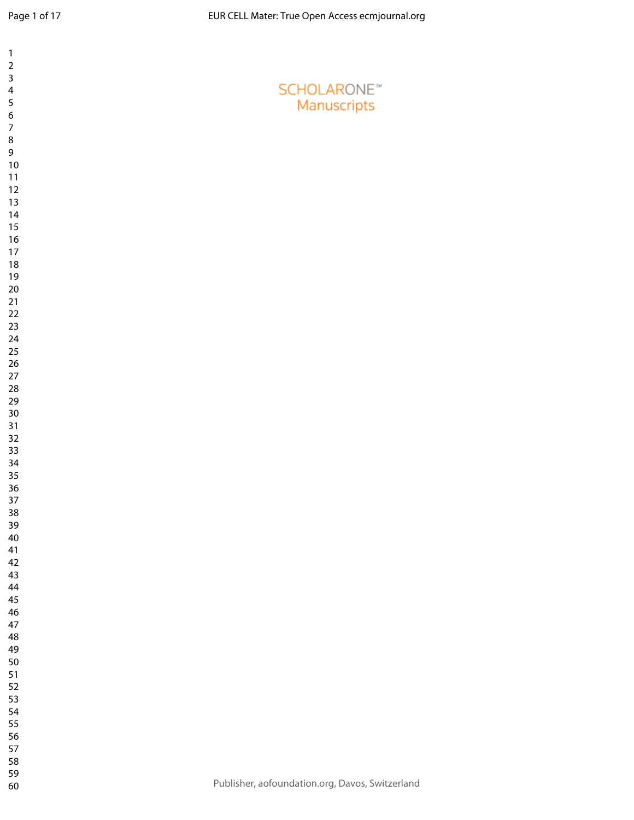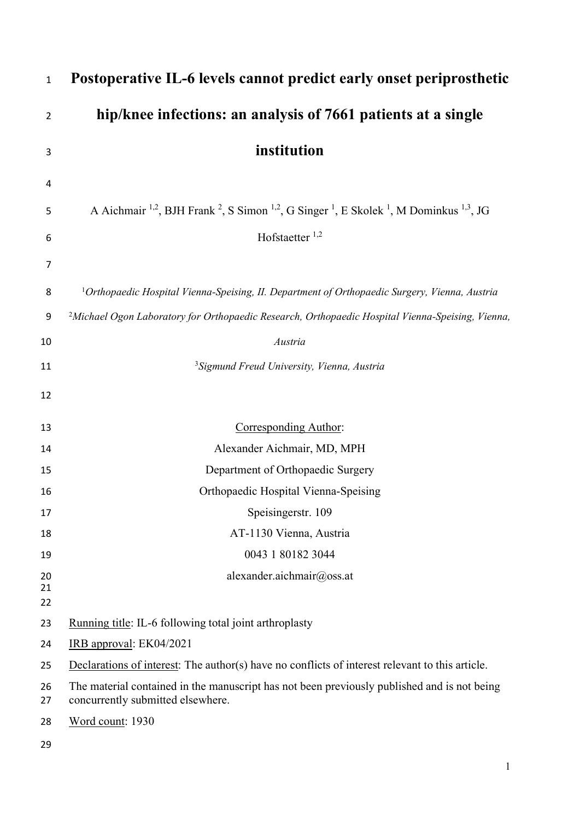| $\mathbf{1}$   | Postoperative IL-6 levels cannot predict early onset periprosthetic                                                                                          |
|----------------|--------------------------------------------------------------------------------------------------------------------------------------------------------------|
| $\overline{2}$ | hip/knee infections: an analysis of 7661 patients at a single                                                                                                |
| 3              | institution                                                                                                                                                  |
| 4              |                                                                                                                                                              |
| 5              | A Aichmair <sup>1,2</sup> , BJH Frank <sup>2</sup> , S Simon <sup>1,2</sup> , G Singer <sup>1</sup> , E Skolek <sup>1</sup> , M Dominkus <sup>1,3</sup> , JG |
| 6              | Hofstaetter <sup>1,2</sup>                                                                                                                                   |
| 7              |                                                                                                                                                              |
| 8              | <sup>1</sup> Orthopaedic Hospital Vienna-Speising, II. Department of Orthopaedic Surgery, Vienna, Austria                                                    |
| 9              | <sup>2</sup> Michael Ogon Laboratory for Orthopaedic Research, Orthopaedic Hospital Vienna-Speising, Vienna,                                                 |
| 10             | Austria                                                                                                                                                      |
| 11             | <sup>3</sup> Sigmund Freud University, Vienna, Austria                                                                                                       |
| 12             |                                                                                                                                                              |
| 13             | Corresponding Author:                                                                                                                                        |
| 14             | Alexander Aichmair, MD, MPH                                                                                                                                  |
| 15             | Department of Orthopaedic Surgery                                                                                                                            |
| 16             | Orthopaedic Hospital Vienna-Speising                                                                                                                         |
| 17             | Speisingerstr. 109                                                                                                                                           |
| 18             | AT-1130 Vienna, Austria                                                                                                                                      |
| 19             | 0043 1 80182 3044                                                                                                                                            |
| 20<br>21<br>22 | alexander.aichmair@oss.at                                                                                                                                    |
| 23             | Running title: IL-6 following total joint arthroplasty                                                                                                       |
| 24             | IRB approval: EK04/2021                                                                                                                                      |
| 25             | Declarations of interest: The author(s) have no conflicts of interest relevant to this article.                                                              |
| 26<br>27       | The material contained in the manuscript has not been previously published and is not being<br>concurrently submitted elsewhere.                             |
| 28             | Word count: 1930                                                                                                                                             |
| 29             |                                                                                                                                                              |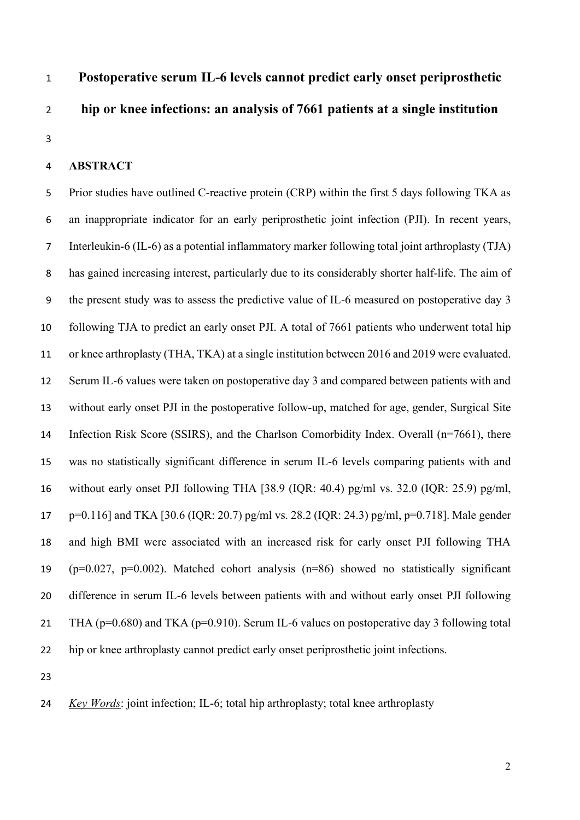- **Postoperative serum IL-6 levels cannot predict early onset periprosthetic hip or knee infections: an analysis of 7661 patients at a single institution**
- 

## **ABSTRACT**

Prior studies have outlined C-reactive protein (CRP) within the first 5 days following TKA as an inappropriate indicator for an early periprosthetic joint infection (PJI). In recent years, Interleukin-6 (IL-6) as a potential inflammatory marker following total joint arthroplasty (TJA) has gained increasing interest, particularly due to its considerably shorter half-life. The aim of the present study was to assess the predictive value of IL-6 measured on postoperative day 3 following TJA to predict an early onset PJI. A total of 7661 patients who underwent total hip or knee arthroplasty (THA, TKA) at a single institution between 2016 and 2019 were evaluated. Serum IL-6 values were taken on postoperative day 3 and compared between patients with and without early onset PJI in the postoperative follow-up, matched for age, gender, Surgical Site Infection Risk Score (SSIRS), and the Charlson Comorbidity Index. Overall (n=7661), there was no statistically significant difference in serum IL-6 levels comparing patients with and without early onset PJI following THA [38.9 (IQR: 40.4) pg/ml vs. 32.0 (IQR: 25.9) pg/ml, p=0.116] and TKA [30.6 (IQR: 20.7) pg/ml vs. 28.2 (IQR: 24.3) pg/ml, p=0.718]. Male gender and high BMI were associated with an increased risk for early onset PJI following THA (p=0.027, p=0.002). Matched cohort analysis (n=86) showed no statistically significant difference in serum IL-6 levels between patients with and without early onset PJI following 21 THA (p=0.680) and TKA (p=0.910). Serum IL-6 values on postoperative day 3 following total hip or knee arthroplasty cannot predict early onset periprosthetic joint infections.

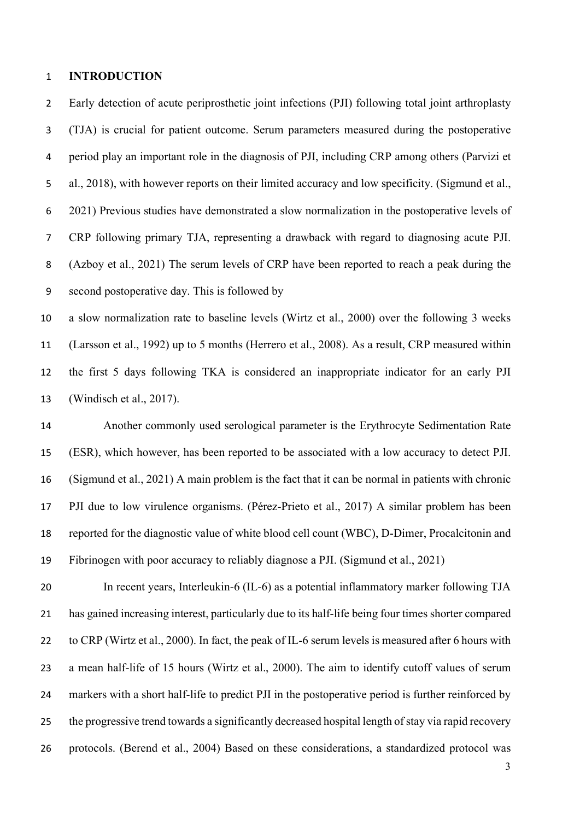#### **INTRODUCTION**

 Early detection of acute periprosthetic joint infections (PJI) following total joint arthroplasty (TJA) is crucial for patient outcome. Serum parameters measured during the postoperative period play an important role in the diagnosis of PJI, including CRP among others (Parvizi et al., 2018), with however reports on their limited accuracy and low specificity. (Sigmund et al., 2021) Previous studies have demonstrated a slow normalization in the postoperative levels of CRP following primary TJA, representing a drawback with regard to diagnosing acute PJI. (Azboy et al., 2021) The serum levels of CRP have been reported to reach a peak during the second postoperative day. This is followed by

 a slow normalization rate to baseline levels (Wirtz et al., 2000) over the following 3 weeks (Larsson et al., 1992) up to 5 months (Herrero et al., 2008). As a result, CRP measured within the first 5 days following TKA is considered an inappropriate indicator for an early PJI (Windisch et al., 2017).

 Another commonly used serological parameter is the Erythrocyte Sedimentation Rate (ESR), which however, has been reported to be associated with a low accuracy to detect PJI. (Sigmund et al., 2021) A main problem is the fact that it can be normal in patients with chronic PJI due to low virulence organisms. (Pérez-Prieto et al., 2017) A similar problem has been reported for the diagnostic value of white blood cell count (WBC), D-Dimer, Procalcitonin and Fibrinogen with poor accuracy to reliably diagnose a PJI. (Sigmund et al., 2021)

 In recent years, Interleukin-6 (IL-6) as a potential inflammatory marker following TJA has gained increasing interest, particularly due to its half-life being four times shorter compared to CRP (Wirtz et al., 2000). In fact, the peak of IL-6 serum levels is measured after 6 hours with a mean half-life of 15 hours (Wirtz et al., 2000). The aim to identify cutoff values of serum markers with a short half-life to predict PJI in the postoperative period is further reinforced by the progressive trend towards a significantly decreased hospital length of stay via rapid recovery protocols. (Berend et al., 2004) Based on these considerations, a standardized protocol was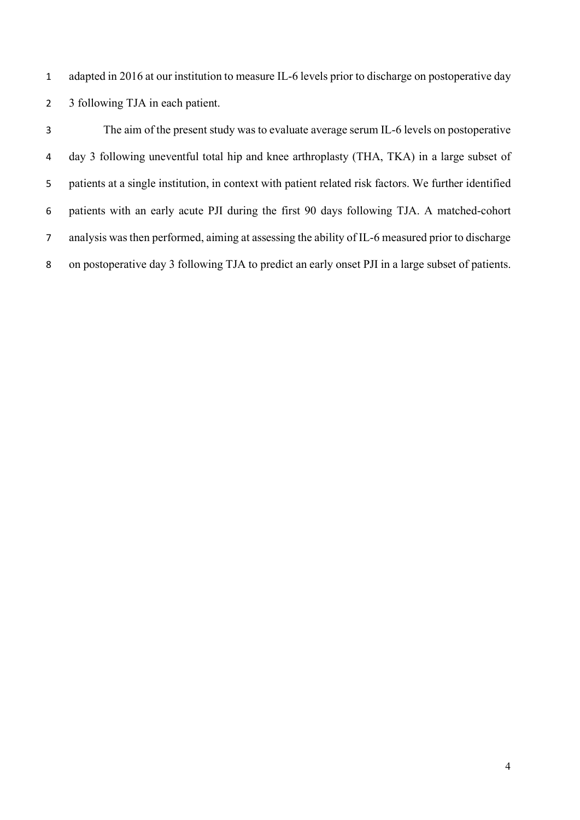adapted in 2016 at our institution to measure IL-6 levels prior to discharge on postoperative day 2 3 following TJA in each patient.

 The aim of the present study was to evaluate average serum IL-6 levels on postoperative day 3 following uneventful total hip and knee arthroplasty (THA, TKA) in a large subset of patients at a single institution, in context with patient related risk factors. We further identified patients with an early acute PJI during the first 90 days following TJA. A matched-cohort analysis was then performed, aiming at assessing the ability of IL-6 measured prior to discharge on postoperative day 3 following TJA to predict an early onset PJI in a large subset of patients.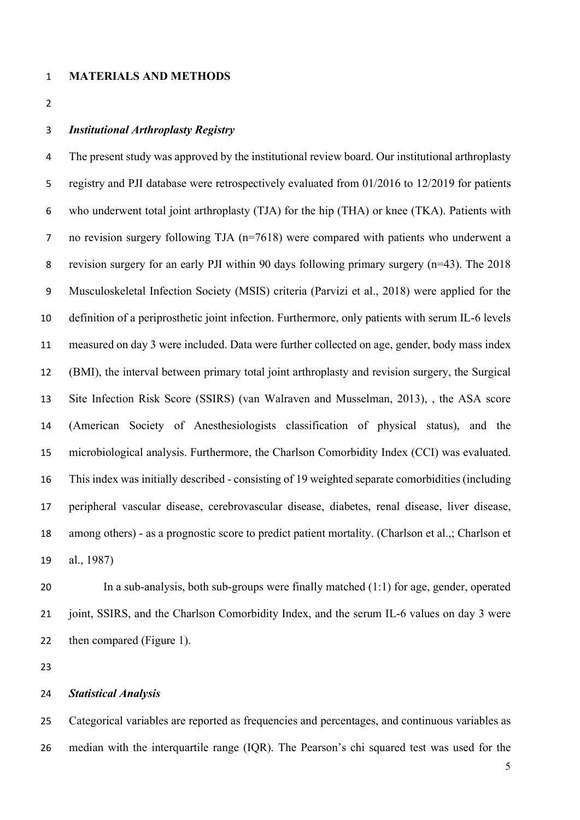#### **MATERIALS AND METHODS**

## *Institutional Arthroplasty Registry*

The present study was approved by the institutional review board. Our institutional arthroplasty registry and PJI database were retrospectively evaluated from 01/2016 to 12/2019 for patients who underwent total joint arthroplasty (TJA) for the hip (THA) or knee (TKA). Patients with no revision surgery following TJA (n=7618) were compared with patients who underwent a revision surgery for an early PJI within 90 days following primary surgery (n=43). The 2018 Musculoskeletal Infection Society (MSIS) criteria (Parvizi et al., 2018) were applied for the definition of a periprosthetic joint infection. Furthermore, only patients with serum IL-6 levels measured on day 3 were included. Data were further collected on age, gender, body mass index (BMI), the interval between primary total joint arthroplasty and revision surgery, the Surgical Site Infection Risk Score (SSIRS) (van Walraven and Musselman, 2013), , the ASA score (American Society of Anesthesiologists classification of physical status), and the microbiological analysis. Furthermore, the Charlson Comorbidity Index (CCI) was evaluated. This index was initially described - consisting of 19 weighted separate comorbidities (including peripheral vascular disease, cerebrovascular disease, diabetes, renal disease, liver disease, among others) - as a prognostic score to predict patient mortality. (Charlson et al.,; Charlson et al., 1987)

 In a sub-analysis, both sub-groups were finally matched (1:1) for age, gender, operated joint, SSIRS, and the Charlson Comorbidity Index, and the serum IL-6 values on day 3 were then compared (Figure 1).

#### *Statistical Analysis*

 Categorical variables are reported as frequencies and percentages, and continuous variables as median with the interquartile range (IQR). The Pearson's chi squared test was used for the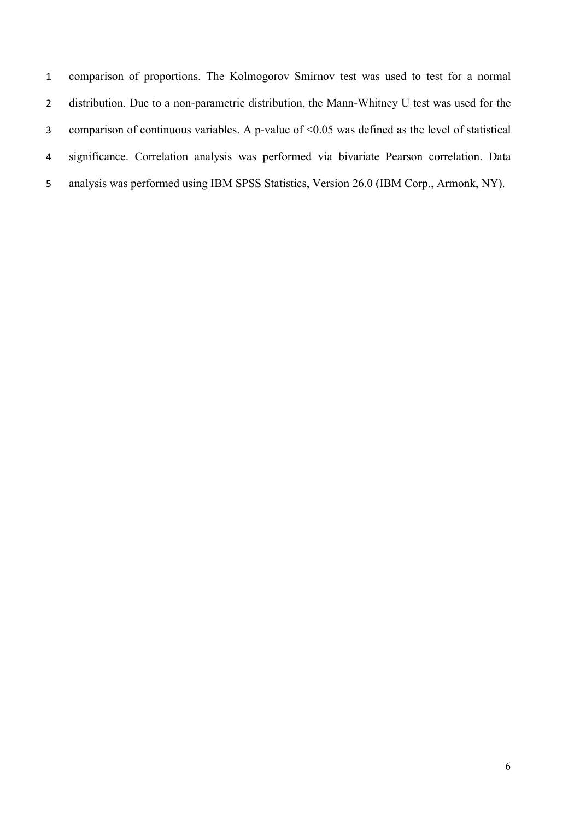comparison of proportions. The Kolmogorov Smirnov test was used to test for a normal distribution. Due to a non-parametric distribution, the Mann-Whitney U test was used for the comparison of continuous variables. A p-value of <0.05 was defined as the level of statistical significance. Correlation analysis was performed via bivariate Pearson correlation. Data analysis was performed using IBM SPSS Statistics, Version 26.0 (IBM Corp., Armonk, NY).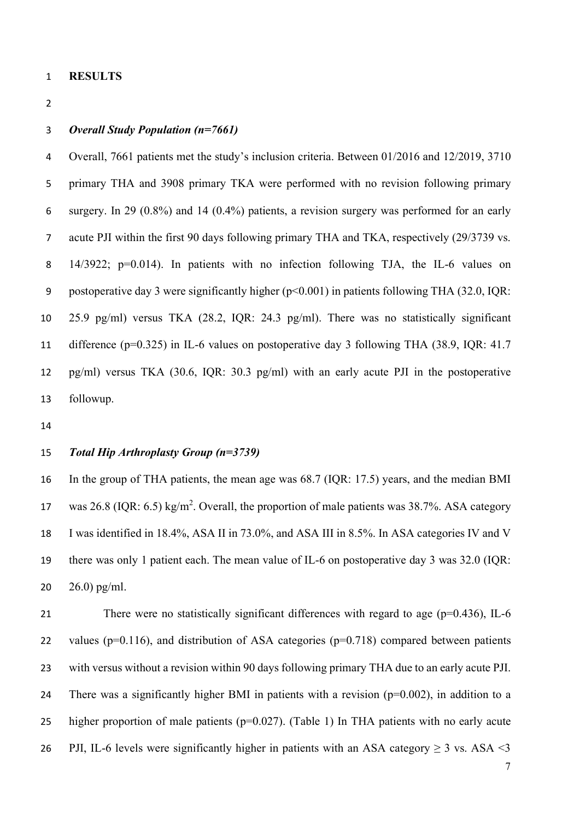#### **RESULTS**

#### *Overall Study Population (n=7661)*

 Overall, 7661 patients met the study's inclusion criteria. Between 01/2016 and 12/2019, 3710 primary THA and 3908 primary TKA were performed with no revision following primary surgery. In 29 (0.8%) and 14 (0.4%) patients, a revision surgery was performed for an early acute PJI within the first 90 days following primary THA and TKA, respectively (29/3739 vs. 14/3922; p=0.014). In patients with no infection following TJA, the IL-6 values on 9 postoperative day 3 were significantly higher ( $p$ <0.001) in patients following THA (32.0, IQR: 25.9 pg/ml) versus TKA (28.2, IQR: 24.3 pg/ml). There was no statistically significant difference (p=0.325) in IL-6 values on postoperative day 3 following THA (38.9, IQR: 41.7 pg/ml) versus TKA (30.6, IQR: 30.3 pg/ml) with an early acute PJI in the postoperative followup.

# *Total Hip Arthroplasty Group (n=3739)*

 In the group of THA patients, the mean age was 68.7 (IQR: 17.5) years, and the median BMI 17 was 26.8 (IQR: 6.5) kg/m<sup>2</sup>. Overall, the proportion of male patients was  $38.7\%$ . ASA category I was identified in 18.4%, ASA II in 73.0%, and ASA III in 8.5%. In ASA categories IV and V there was only 1 patient each. The mean value of IL-6 on postoperative day 3 was 32.0 (IQR:  $26.0$ ) pg/ml.

21 There were no statistically significant differences with regard to age (p=0.436), IL-6 22 values ( $p=0.116$ ), and distribution of ASA categories ( $p=0.718$ ) compared between patients with versus without a revision within 90 days following primary THA due to an early acute PJI. 24 There was a significantly higher BMI in patients with a revision  $(p=0.002)$ , in addition to a higher proportion of male patients (p=0.027). (Table 1) In THA patients with no early acute 26 PJI, IL-6 levels were significantly higher in patients with an ASA category  $\geq$  3 vs. ASA  $\leq$ 3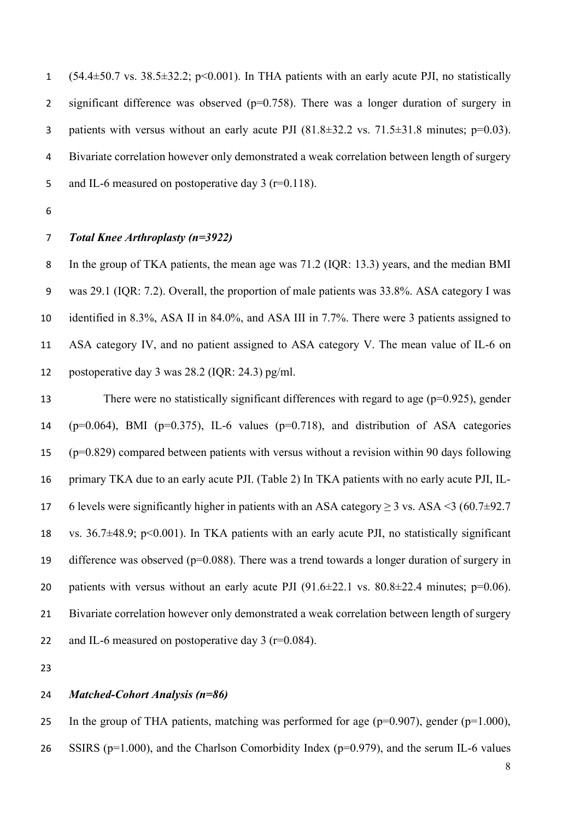1 (54.4 $\pm$ 50.7 vs. 38.5 $\pm$ 32.2; p<0.001). In THA patients with an early acute PJI, no statistically 2 significant difference was observed  $(p=0.758)$ . There was a longer duration of surgery in 3 patients with versus without an early acute PJI  $(81.8\pm32.2 \text{ vs. } 71.5\pm31.8 \text{ minutes}; \text{p=0.03}).$ 4 Bivariate correlation however only demonstrated a weak correlation between length of surgery 5 and IL-6 measured on postoperative day 3 (r=0.118).

6

## 7 *Total Knee Arthroplasty (n=3922)*

 In the group of TKA patients, the mean age was 71.2 (IQR: 13.3) years, and the median BMI was 29.1 (IQR: 7.2). Overall, the proportion of male patients was 33.8%. ASA category I was identified in 8.3%, ASA II in 84.0%, and ASA III in 7.7%. There were 3 patients assigned to ASA category IV, and no patient assigned to ASA category V. The mean value of IL-6 on postoperative day 3 was 28.2 (IQR: 24.3) pg/ml.

13 There were no statistically significant differences with regard to age (p=0.925), gender 14 ( $p=0.064$ ), BMI ( $p=0.375$ ), IL-6 values ( $p=0.718$ ), and distribution of ASA categories 15 ( $p=0.829$ ) compared between patients with versus without a revision within 90 days following 16 primary TKA due to an early acute PJI. (Table 2) In TKA patients with no early acute PJI, IL-17 6 levels were significantly higher in patients with an ASA category  $\geq$  3 vs. ASA <3 (60.7 $\pm$ 92.7) 18 vs. 36.7±48.9; p<0.001). In TKA patients with an early acute PJI, no statistically significant 19 difference was observed ( $p=0.088$ ). There was a trend towards a longer duration of surgery in 20 patients with versus without an early acute PJI  $(91.6\pm22.1 \text{ vs. } 80.8\pm22.4 \text{ minutes}; \text{p=0.06}).$ 21 Bivariate correlation however only demonstrated a weak correlation between length of surgery 22 and IL-6 measured on postoperative day  $3$  ( $r=0.084$ ).

23

## 24 *Matched-Cohort Analysis (n=86)*

25 In the group of THA patients, matching was performed for age ( $p=0.907$ ), gender ( $p=1.000$ ), 26 SSIRS ( $p=1.000$ ), and the Charlson Comorbidity Index ( $p=0.979$ ), and the serum IL-6 values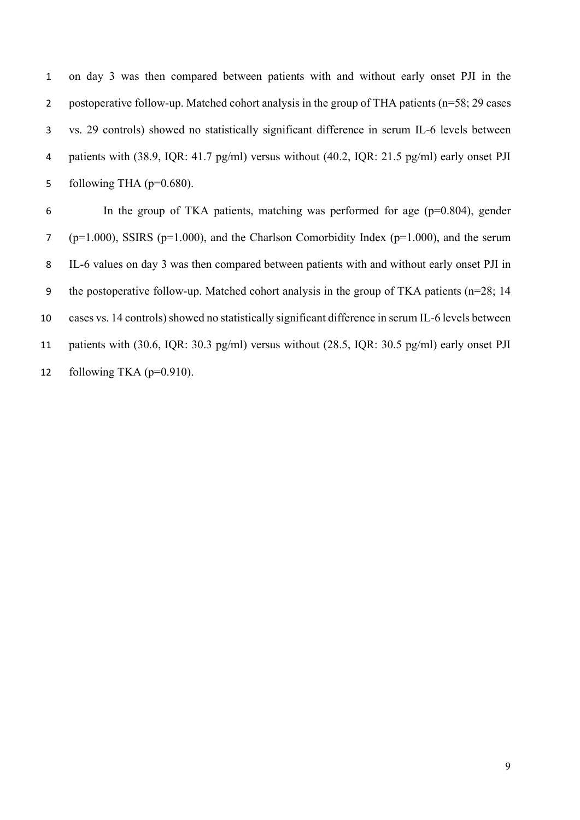on day 3 was then compared between patients with and without early onset PJI in the 2 postoperative follow-up. Matched cohort analysis in the group of THA patients (n=58; 29 cases vs. 29 controls) showed no statistically significant difference in serum IL-6 levels between patients with (38.9, IQR: 41.7 pg/ml) versus without (40.2, IQR: 21.5 pg/ml) early onset PJI 5 following THA ( $p=0.680$ ).

 In the group of TKA patients, matching was performed for age (p=0.804), gender (p=1.000), SSIRS (p=1.000), and the Charlson Comorbidity Index (p=1.000), and the serum IL-6 values on day 3 was then compared between patients with and without early onset PJI in the postoperative follow-up. Matched cohort analysis in the group of TKA patients (n=28; 14 cases vs. 14 controls) showed no statistically significant difference in serum IL-6 levels between patients with (30.6, IQR: 30.3 pg/ml) versus without (28.5, IQR: 30.5 pg/ml) early onset PJI 12 following TKA ( $p=0.910$ ).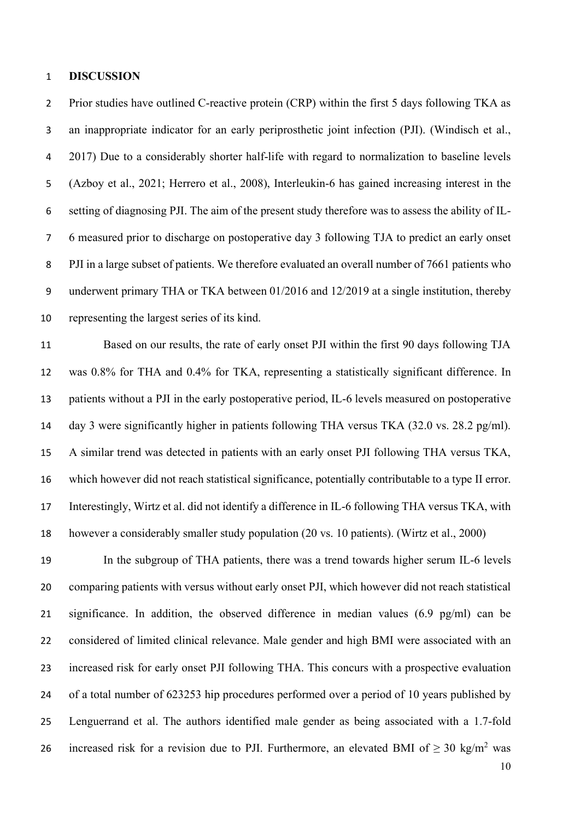#### **DISCUSSION**

 Prior studies have outlined C-reactive protein (CRP) within the first 5 days following TKA as an inappropriate indicator for an early periprosthetic joint infection (PJI). (Windisch et al., 2017) Due to a considerably shorter half-life with regard to normalization to baseline levels (Azboy et al., 2021; Herrero et al., 2008), Interleukin-6 has gained increasing interest in the setting of diagnosing PJI. The aim of the present study therefore was to assess the ability of IL- 6 measured prior to discharge on postoperative day 3 following TJA to predict an early onset PJI in a large subset of patients. We therefore evaluated an overall number of 7661 patients who underwent primary THA or TKA between 01/2016 and 12/2019 at a single institution, thereby representing the largest series of its kind.

 Based on our results, the rate of early onset PJI within the first 90 days following TJA was 0.8% for THA and 0.4% for TKA, representing a statistically significant difference. In patients without a PJI in the early postoperative period, IL-6 levels measured on postoperative day 3 were significantly higher in patients following THA versus TKA (32.0 vs. 28.2 pg/ml). A similar trend was detected in patients with an early onset PJI following THA versus TKA, which however did not reach statistical significance, potentially contributable to a type II error. Interestingly, Wirtz et al. did not identify a difference in IL-6 following THA versus TKA, with however a considerably smaller study population (20 vs. 10 patients). (Wirtz et al., 2000)

 In the subgroup of THA patients, there was a trend towards higher serum IL-6 levels comparing patients with versus without early onset PJI, which however did not reach statistical significance. In addition, the observed difference in median values (6.9 pg/ml) can be considered of limited clinical relevance. Male gender and high BMI were associated with an increased risk for early onset PJI following THA. This concurs with a prospective evaluation of a total number of 623253 hip procedures performed over a period of 10 years published by Lenguerrand et al. The authors identified male gender as being associated with a 1.7-fold 26 increased risk for a revision due to PJI. Furthermore, an elevated BMI of  $\geq 30 \text{ kg/m}^2$  was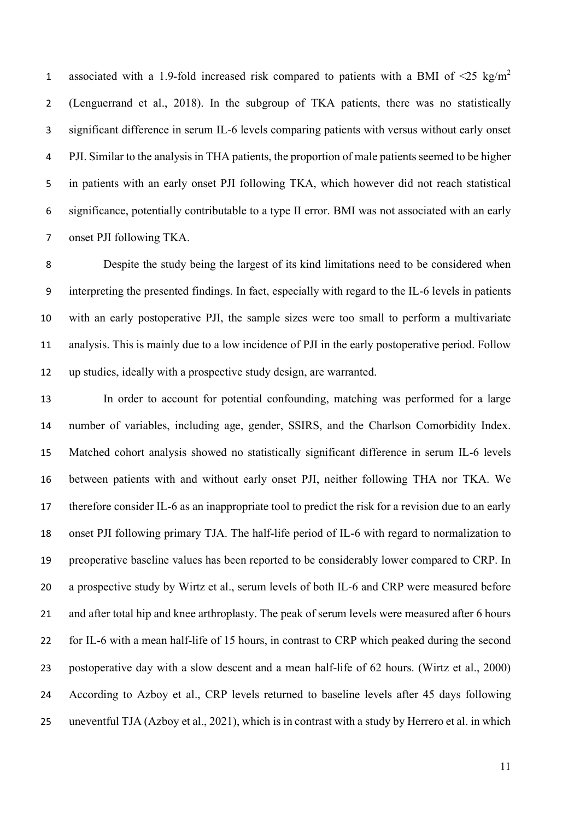associated with a 1.9-fold increased risk compared to patients with a BMI of  $\langle 25 \text{ kg/m}^2 \rangle$  (Lenguerrand et al., 2018). In the subgroup of TKA patients, there was no statistically significant difference in serum IL-6 levels comparing patients with versus without early onset PJI. Similar to the analysis in THA patients, the proportion of male patients seemed to be higher in patients with an early onset PJI following TKA, which however did not reach statistical significance, potentially contributable to a type II error. BMI was not associated with an early onset PJI following TKA.

 Despite the study being the largest of its kind limitations need to be considered when interpreting the presented findings. In fact, especially with regard to the IL-6 levels in patients with an early postoperative PJI, the sample sizes were too small to perform a multivariate analysis. This is mainly due to a low incidence of PJI in the early postoperative period. Follow up studies, ideally with a prospective study design, are warranted.

 In order to account for potential confounding, matching was performed for a large number of variables, including age, gender, SSIRS, and the Charlson Comorbidity Index. Matched cohort analysis showed no statistically significant difference in serum IL-6 levels between patients with and without early onset PJI, neither following THA nor TKA. We therefore consider IL-6 as an inappropriate tool to predict the risk for a revision due to an early onset PJI following primary TJA. The half-life period of IL-6 with regard to normalization to preoperative baseline values has been reported to be considerably lower compared to CRP. In a prospective study by Wirtz et al., serum levels of both IL-6 and CRP were measured before and after total hip and knee arthroplasty. The peak of serum levels were measured after 6 hours for IL-6 with a mean half-life of 15 hours, in contrast to CRP which peaked during the second postoperative day with a slow descent and a mean half-life of 62 hours. (Wirtz et al., 2000) According to Azboy et al., CRP levels returned to baseline levels after 45 days following uneventful TJA (Azboy et al., 2021), which is in contrast with a study by Herrero et al. in which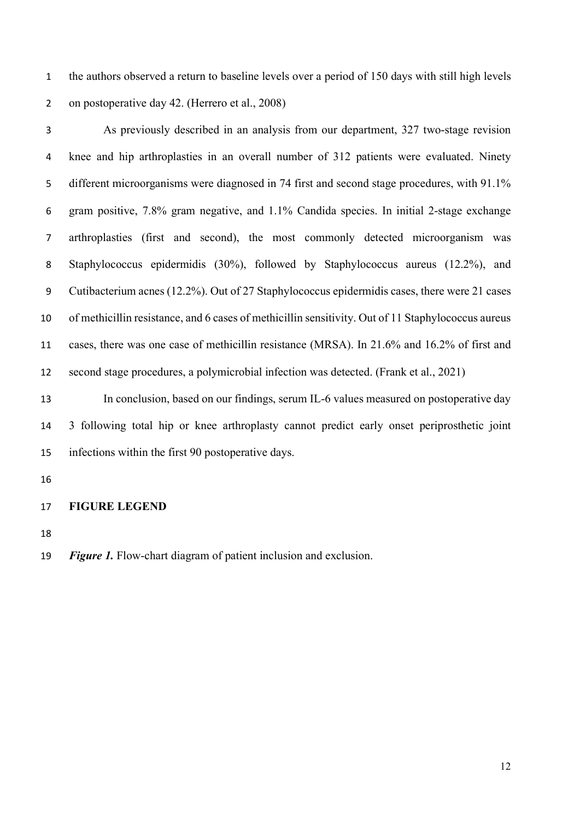the authors observed a return to baseline levels over a period of 150 days with still high levels on postoperative day 42. (Herrero et al., 2008)

 As previously described in an analysis from our department, 327 two-stage revision knee and hip arthroplasties in an overall number of 312 patients were evaluated. Ninety 5 different microorganisms were diagnosed in 74 first and second stage procedures, with 91.1% gram positive, 7.8% gram negative, and 1.1% Candida species. In initial 2-stage exchange arthroplasties (first and second), the most commonly detected microorganism was Staphylococcus epidermidis (30%), followed by Staphylococcus aureus (12.2%), and Cutibacterium acnes (12.2%). Out of 27 Staphylococcus epidermidis cases, there were 21 cases of methicillin resistance, and 6 cases of methicillin sensitivity. Out of 11 Staphylococcus aureus cases, there was one case of methicillin resistance (MRSA). In 21.6% and 16.2% of first and second stage procedures, a polymicrobial infection was detected. (Frank et al., 2021)

 In conclusion, based on our findings, serum IL-6 values measured on postoperative day 3 following total hip or knee arthroplasty cannot predict early onset periprosthetic joint infections within the first 90 postoperative days.

## **FIGURE LEGEND**

*Figure 1.* Flow-chart diagram of patient inclusion and exclusion.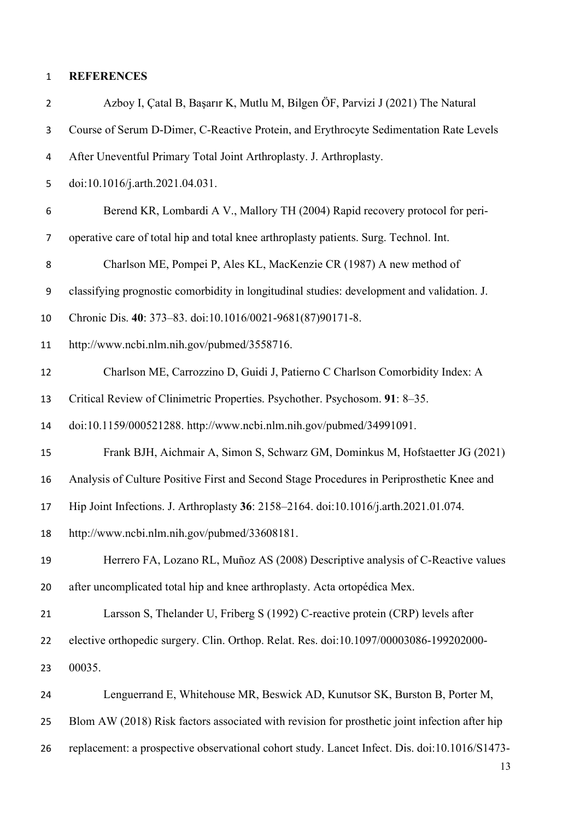# **REFERENCES**

| $\overline{2}$ | Azboy I, Çatal B, Başarır K, Mutlu M, Bilgen ÖF, Parvizi J (2021) The Natural                 |
|----------------|-----------------------------------------------------------------------------------------------|
| 3              | Course of Serum D-Dimer, C-Reactive Protein, and Erythrocyte Sedimentation Rate Levels        |
| 4              | After Uneventful Primary Total Joint Arthroplasty. J. Arthroplasty.                           |
| 5              | doi:10.1016/j.arth.2021.04.031.                                                               |
| 6              | Berend KR, Lombardi A V., Mallory TH (2004) Rapid recovery protocol for peri-                 |
| 7              | operative care of total hip and total knee arthroplasty patients. Surg. Technol. Int.         |
| 8              | Charlson ME, Pompei P, Ales KL, MacKenzie CR (1987) A new method of                           |
| 9              | classifying prognostic comorbidity in longitudinal studies: development and validation. J.    |
| 10             | Chronic Dis. 40: 373-83. doi:10.1016/0021-9681(87)90171-8.                                    |
| 11             | http://www.ncbi.nlm.nih.gov/pubmed/3558716.                                                   |
| 12             | Charlson ME, Carrozzino D, Guidi J, Patierno C Charlson Comorbidity Index: A                  |
| 13             | Critical Review of Clinimetric Properties. Psychother. Psychosom. 91: 8-35.                   |
| 14             | doi:10.1159/000521288. http://www.ncbi.nlm.nih.gov/pubmed/34991091.                           |
| 15             | Frank BJH, Aichmair A, Simon S, Schwarz GM, Dominkus M, Hofstaetter JG (2021)                 |
| 16             | Analysis of Culture Positive First and Second Stage Procedures in Periprosthetic Knee and     |
| 17             | Hip Joint Infections. J. Arthroplasty 36: 2158–2164. doi:10.1016/j.arth.2021.01.074.          |
| 18             | http://www.ncbi.nlm.nih.gov/pubmed/33608181.                                                  |
| 19             | Herrero FA, Lozano RL, Muñoz AS (2008) Descriptive analysis of C-Reactive values              |
| 20             | after uncomplicated total hip and knee arthroplasty. Acta ortopédica Mex.                     |
| 21             | Larsson S, Thelander U, Friberg S (1992) C-reactive protein (CRP) levels after                |
| 22             | elective orthopedic surgery. Clin. Orthop. Relat. Res. doi:10.1097/00003086-199202000-        |
| 23             | 00035.                                                                                        |
| 24             | Lenguerrand E, Whitehouse MR, Beswick AD, Kunutsor SK, Burston B, Porter M,                   |
| 25             | Blom AW (2018) Risk factors associated with revision for prosthetic joint infection after hip |
| 26             | replacement: a prospective observational cohort study. Lancet Infect. Dis. doi:10.1016/S1473- |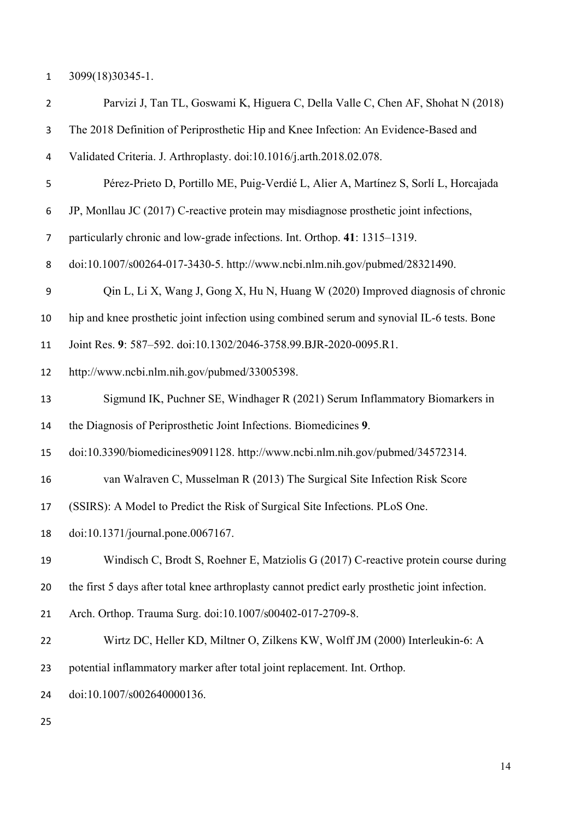| 1 | 3099(18)30345-1. |
|---|------------------|
|---|------------------|

| $\overline{2}$ | Parvizi J, Tan TL, Goswami K, Higuera C, Della Valle C, Chen AF, Shohat N (2018)                |
|----------------|-------------------------------------------------------------------------------------------------|
| 3              | The 2018 Definition of Periprosthetic Hip and Knee Infection: An Evidence-Based and             |
| 4              | Validated Criteria. J. Arthroplasty. doi:10.1016/j.arth.2018.02.078.                            |
| 5              | Pérez-Prieto D, Portillo ME, Puig-Verdié L, Alier A, Martínez S, Sorlí L, Horcajada             |
| 6              | JP, Monllau JC (2017) C-reactive protein may misdiagnose prosthetic joint infections,           |
| $\overline{7}$ | particularly chronic and low-grade infections. Int. Orthop. 41: 1315–1319.                      |
| 8              | doi:10.1007/s00264-017-3430-5. http://www.ncbi.nlm.nih.gov/pubmed/28321490.                     |
| 9              | Qin L, Li X, Wang J, Gong X, Hu N, Huang W (2020) Improved diagnosis of chronic                 |
| 10             | hip and knee prosthetic joint infection using combined serum and synovial IL-6 tests. Bone      |
| 11             | Joint Res. 9: 587-592. doi:10.1302/2046-3758.99.BJR-2020-0095.R1.                               |
| 12             | http://www.ncbi.nlm.nih.gov/pubmed/33005398.                                                    |
| 13             | Sigmund IK, Puchner SE, Windhager R (2021) Serum Inflammatory Biomarkers in                     |
| 14             | the Diagnosis of Periprosthetic Joint Infections. Biomedicines 9.                               |
| 15             | doi:10.3390/biomedicines9091128. http://www.ncbi.nlm.nih.gov/pubmed/34572314.                   |
| 16             | van Walraven C, Musselman R (2013) The Surgical Site Infection Risk Score                       |
| 17             | (SSIRS): A Model to Predict the Risk of Surgical Site Infections. PLoS One.                     |
| 18             | doi:10.1371/journal.pone.0067167.                                                               |
| 19             | Windisch C, Brodt S, Roehner E, Matziolis G (2017) C-reactive protein course during             |
| 20             | the first 5 days after total knee arthroplasty cannot predict early prosthetic joint infection. |
| 21             | Arch. Orthop. Trauma Surg. doi:10.1007/s00402-017-2709-8.                                       |
| 22             | Wirtz DC, Heller KD, Miltner O, Zilkens KW, Wolff JM (2000) Interleukin-6: A                    |
| 23             | potential inflammatory marker after total joint replacement. Int. Orthop.                       |
| 24             | doi:10.1007/s002640000136.                                                                      |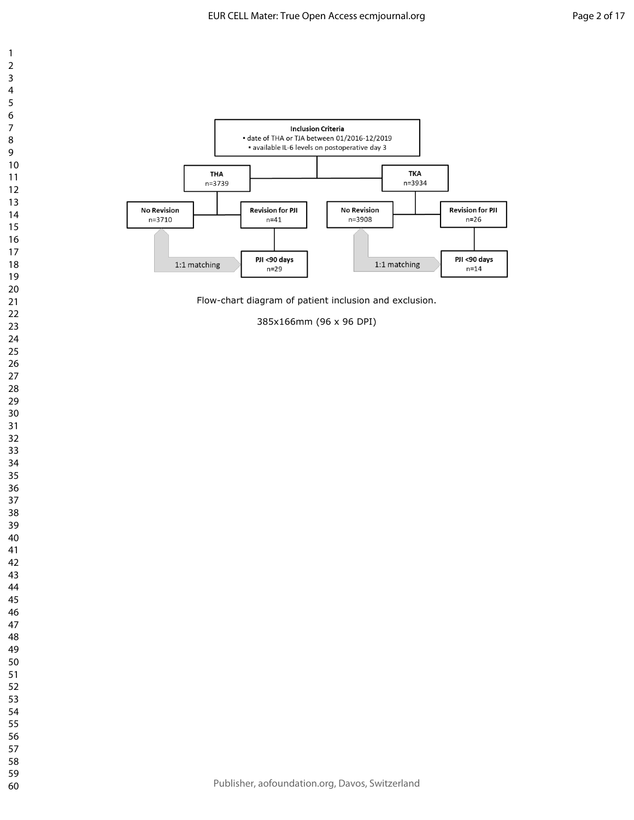

 $\mathbf{1}$  $\overline{2}$  $\mathsf 3$  $\overline{4}$  $\boldsymbol{6}$  $\overline{7}$ 

 $\,8\,$ 

385x166mm (96 x 96 DPI)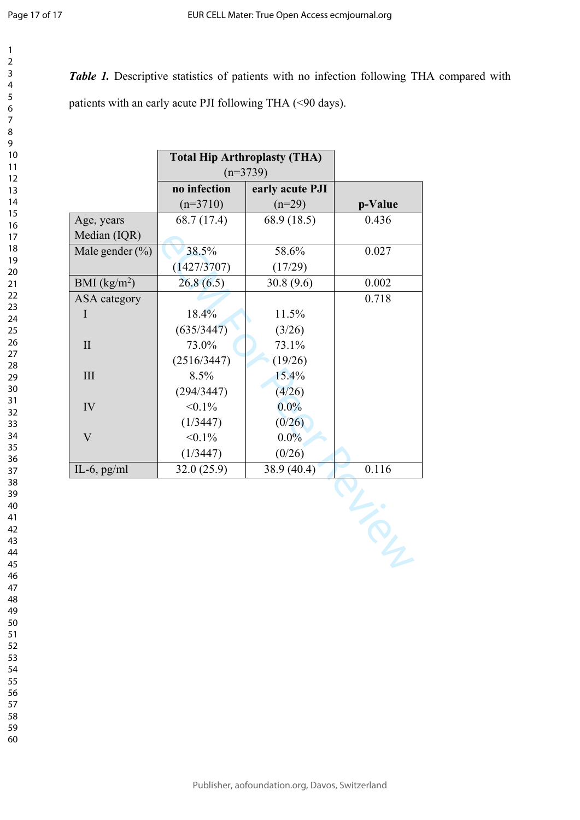$\mathbf{1}$  $\overline{2}$  $\overline{3}$  $\overline{4}$ 5

**Table 1.** Descriptive statistics of patients with no infection following THA compared with patients with an early acute PJI following THA (<90 days).

|                         | <b>Total Hip Arthroplasty (THA)</b><br>$(n=3739)$ |                 |         |
|-------------------------|---------------------------------------------------|-----------------|---------|
|                         | no infection                                      | early acute PJI |         |
|                         | $(n=3710)$                                        | $(n=29)$        | p-Value |
| Age, years              | 68.7 (17.4)                                       | 68.9 (18.5)     | 0.436   |
| Median (IQR)            |                                                   |                 |         |
| Male gender $(\% )$     | 38.5%                                             | 58.6%           | 0.027   |
|                         | (1427/3707)                                       | (17/29)         |         |
| BMI $(kg/m2)$           | 26.8(6.5)                                         | 30.8(9.6)       | 0.002   |
| ASA category            |                                                   |                 | 0.718   |
| I                       | 18.4%                                             | 11.5%           |         |
|                         | (635/3447)                                        | (3/26)          |         |
| $\mathbf{I}$            | 73.0%                                             | 73.1%           |         |
|                         | (2516/3447)                                       | (19/26)         |         |
| III                     | 8.5%                                              | 15.4%           |         |
|                         | (294/3447)                                        | (4/26)          |         |
| IV                      | $< 0.1\%$                                         | $0.0\%$         |         |
|                         | (1/3447)                                          | (0/26)          |         |
| $\overline{\mathbf{V}}$ | $< 0.1\%$                                         | $0.0\%$         |         |
|                         | (1/3447)                                          | (0/26)          |         |
| IL-6, $pg/ml$           | 32.0(25.9)                                        | 38.9 (40.4)     | 0.116   |
|                         |                                                   |                 |         |